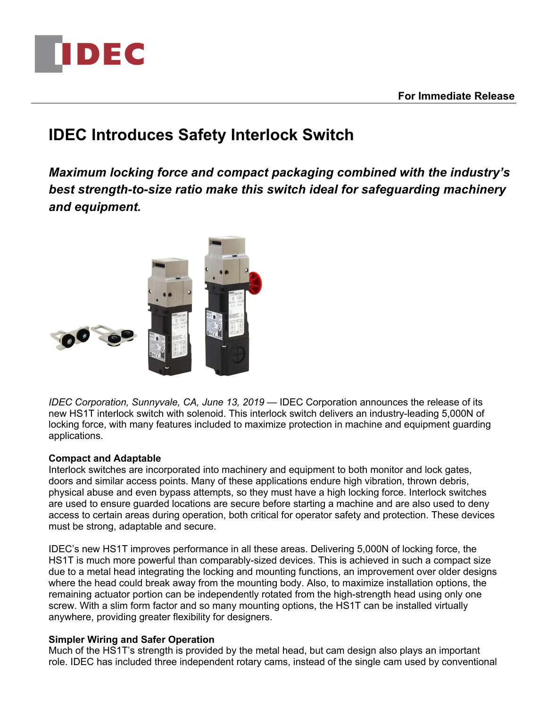

# **IDEC Introduces Safety Interlock Switch**

*Maximum locking force and compact packaging combined with the industry's best strength-to-size ratio make this switch ideal for safeguarding machinery and equipment.*



*IDEC Corporation, Sunnyvale, CA, June 13, 2019* — IDEC Corporation announces the release of its new HS1T interlock switch with solenoid. This interlock switch delivers an industry-leading 5,000N of locking force, with many features included to maximize protection in machine and equipment guarding applications.

## **Compact and Adaptable**

Interlock switches are incorporated into machinery and equipment to both monitor and lock gates, doors and similar access points. Many of these applications endure high vibration, thrown debris, physical abuse and even bypass attempts, so they must have a high locking force. Interlock switches are used to ensure guarded locations are secure before starting a machine and are also used to deny access to certain areas during operation, both critical for operator safety and protection. These devices must be strong, adaptable and secure.

IDEC's new HS1T improves performance in all these areas. Delivering 5,000N of locking force, the HS1T is much more powerful than comparably-sized devices. This is achieved in such a compact size due to a metal head integrating the locking and mounting functions, an improvement over older designs where the head could break away from the mounting body. Also, to maximize installation options, the remaining actuator portion can be independently rotated from the high-strength head using only one screw. With a slim form factor and so many mounting options, the HS1T can be installed virtually anywhere, providing greater flexibility for designers.

## **Simpler Wiring and Safer Operation**

Much of the HS1T's strength is provided by the metal head, but cam design also plays an important role. IDEC has included three independent rotary cams, instead of the single cam used by conventional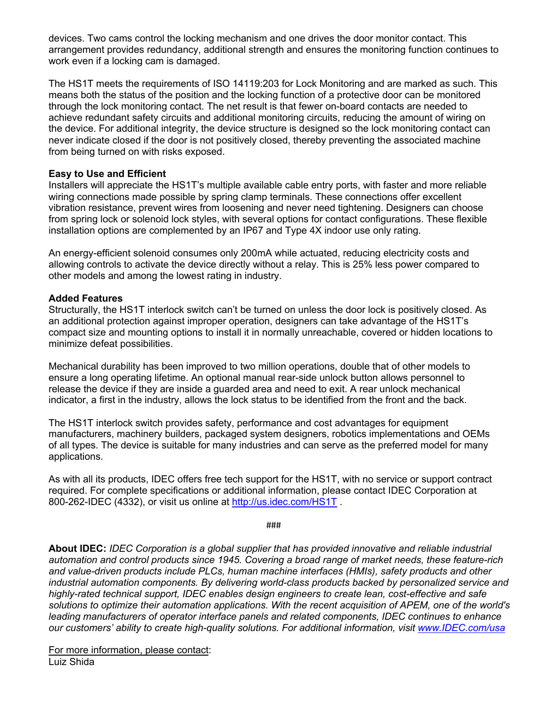devices. Two cams control the locking mechanism and one drives the door monitor contact. This arrangement provides redundancy, additional strength and ensures the monitoring function continues to work even if a locking cam is damaged.

The HS1T meets the requirements of ISO 14119:203 for Lock Monitoring and are marked as such. This means both the status of the position and the locking function of a protective door can be monitored through the lock monitoring contact. The net result is that fewer on-board contacts are needed to achieve redundant safety circuits and additional monitoring circuits, reducing the amount of wiring on the device. For additional integrity, the device structure is designed so the lock monitoring contact can never indicate closed if the door is not positively closed, thereby preventing the associated machine from being turned on with risks exposed.

### **Easy to Use and Efficient**

Installers will appreciate the HS1T's multiple available cable entry ports, with faster and more reliable wiring connections made possible by spring clamp terminals. These connections offer excellent vibration resistance, prevent wires from loosening and never need tightening. Designers can choose from spring lock or solenoid lock styles, with several options for contact configurations. These flexible installation options are complemented by an IP67 and Type 4X indoor use only rating.

An energy-efficient solenoid consumes only 200mA while actuated, reducing electricity costs and allowing controls to activate the device directly without a relay. This is 25% less power compared to other models and among the lowest rating in industry.

### **Added Features**

Structurally, the HS1T interlock switch can't be turned on unless the door lock is positively closed. As an additional protection against improper operation, designers can take advantage of the HS1T's compact size and mounting options to install it in normally unreachable, covered or hidden locations to minimize defeat possibilities.

Mechanical durability has been improved to two million operations, double that of other models to ensure a long operating lifetime. An optional manual rear-side unlock button allows personnel to release the device if they are inside a guarded area and need to exit. A rear unlock mechanical indicator, a first in the industry, allows the lock status to be identified from the front and the back.

The HS1T interlock switch provides safety, performance and cost advantages for equipment manufacturers, machinery builders, packaged system designers, robotics implementations and OEMs of all types. The device is suitable for many industries and can serve as the preferred model for many applications.

As with all its products, IDEC offers free tech support for the HS1T, with no service or support contract required. For complete specifications or additional information, please contact IDEC Corporation at 800-262-IDEC (4332), or visit us online at http://us.idec.com/HS1T .

###

**About IDEC:** *IDEC Corporation is a global supplier that has provided innovative and reliable industrial automation and control products since 1945. Covering a broad range of market needs, these feature-rich and value-driven products include PLCs, human machine interfaces (HMIs), safety products and other industrial automation components. By delivering world-class products backed by personalized service and highly-rated technical support, IDEC enables design engineers to create lean, cost-effective and safe solutions to optimize their automation applications. With the recent acquisition of APEM, one of the world's leading manufacturers of operator interface panels and related components, IDEC continues to enhance our customers' ability to create high-quality solutions. For additional information, visit www.IDEC.com/usa*

For more information, please contact: Luiz Shida